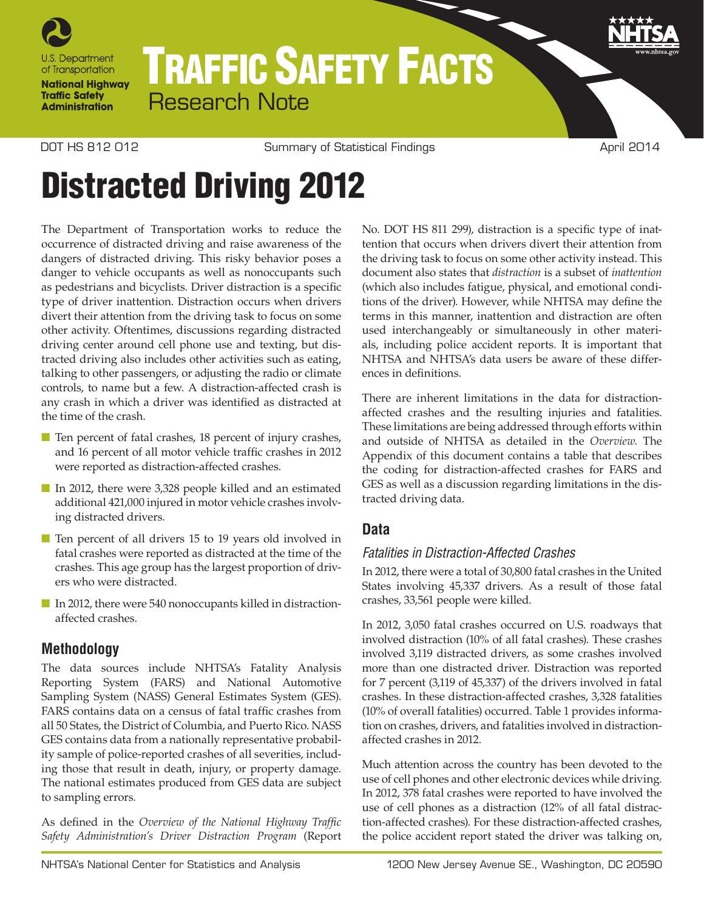

# TRAFFIC SAFETY FACTS Research Note

DOT HS 812 012 COM Summary of Statistical Findings COM April 2014

# Distracted Driving 2012

The Department of Transportation works to reduce the occurrence of distracted driving and raise awareness of the dangers of distracted driving. This risky behavior poses a danger to vehicle occupants as well as nonoccupants such as pedestrians and bicyclists. Driver distraction is a specific type of driver inattention. Distraction occurs when drivers divert their attention from the driving task to focus on some other activity. Oftentimes, discussions regarding distracted driving center around cell phone use and texting, but distracted driving also includes other activities such as eating, talking to other passengers, or adjusting the radio or climate controls, to name but a few. A distraction-affected crash is any crash in which a driver was identified as distracted at the time of the crash.

- Ten percent of fatal crashes, 18 percent of injury crashes, and 16 percent of all motor vehicle traffic crashes in 2012 were reported as distraction-affected crashes.
- In 2012, there were 3,328 people killed and an estimated additional 421,000 injured in motor vehicle crashes involving distracted drivers.
- Ten percent of all drivers 15 to 19 years old involved in fatal crashes were reported as distracted at the time of the crashes. This age group has the largest proportion of drivers who were distracted.
- In 2012, there were 540 nonoccupants killed in distractionaffected crashes.

# **Methodology**

The data sources include NHTSA's Fatality Analysis Reporting System (FARS) and National Automotive Sampling System (NASS) General Estimates System (GES). FARS contains data on a census of fatal traffic crashes from all 50 States, the District of Columbia, and Puerto Rico. NASS GES contains data from a nationally representative probability sample of police-reported crashes of all severities, including those that result in death, injury, or property damage. The national estimates produced from GES data are subject to sampling errors.

As defined in the *Overview of the National Highway Traffic Safety Administration's Driver Distraction Program* (Report No. DOT HS 811 299), distraction is a specific type of inattention that occurs when drivers divert their attention from the driving task to focus on some other activity instead. This document also states that *distraction* is a subset of *inattention* (which also includes fatigue, physical, and emotional conditions of the driver). However, while NHTSA may define the terms in this manner, inattention and distraction are often used interchangeably or simultaneously in other materials, including police accident reports. It is important that NHTSA and NHTSA's data users be aware of these differences in definitions.

There are inherent limitations in the data for distractionaffected crashes and the resulting injuries and fatalities. These limitations are being addressed through efforts within and outside of NHTSA as detailed in the *Overview*. The Appendix of this document contains a table that describes the coding for distraction-affected crashes for FARS and GES as well as a discussion regarding limitations in the distracted driving data.

# **Data**

# *Fatalities in Distraction-Affected Crashes*

In 2012, there were a total of 30,800 fatal crashes in the United States involving 45,337 drivers. As a result of those fatal crashes, 33,561 people were killed.

In 2012, 3,050 fatal crashes occurred on U.S. roadways that involved distraction (10% of all fatal crashes). These crashes involved 3,119 distracted drivers, as some crashes involved more than one distracted driver. Distraction was reported for 7 percent (3,119 of 45,337) of the drivers involved in fatal crashes. In these distraction-affected crashes, 3,328 fatalities (10% of overall fatalities) occurred. Table 1 provides information on crashes, drivers, and fatalities involved in distractionaffected crashes in 2012.

Much attention across the country has been devoted to the use of cell phones and other electronic devices while driving. In 2012, 378 fatal crashes were reported to have involved the use of cell phones as a distraction (12% of all fatal distraction-affected crashes). For these distraction-affected crashes, the police accident report stated the driver was talking on,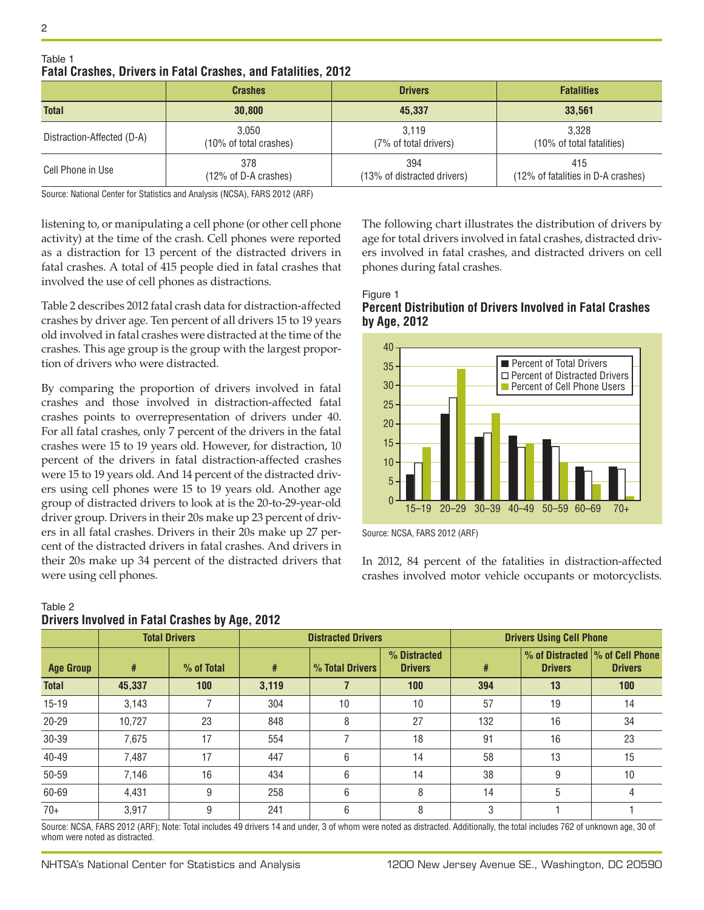|                            | <b>Crashes</b>                  | <b>Drivers</b>                     | <b>Fatalities</b>                         |  |
|----------------------------|---------------------------------|------------------------------------|-------------------------------------------|--|
| <b>Total</b>               | 30,800                          | 45.337                             | 33.561                                    |  |
| Distraction-Affected (D-A) | 3.050<br>(10% of total crashes) | 3.119<br>(7% of total drivers)     | 3.328<br>(10% of total fatalities)        |  |
| Cell Phone in Use          | 378<br>(12% of D-A crashes)     | 394<br>(13% of distracted drivers) | 415<br>(12% of fatalities in D-A crashes) |  |

#### Table 1 **Fatal Crashes, Drivers in Fatal Crashes, and Fatalities, 2012**

Source: National Center for Statistics and Analysis (NCSA), FARS 2012 (ARF)

listening to, or manipulating a cell phone (or other cell phone activity) at the time of the crash. Cell phones were reported as a distraction for 13 percent of the distracted drivers in fatal crashes. A total of 415 people died in fatal crashes that involved the use of cell phones as distractions.

Table 2 describes 2012 fatal crash data for distraction-affected crashes by driver age. Ten percent of all drivers 15 to 19 years old involved in fatal crashes were distracted at the time of the crashes. This age group is the group with the largest proportion of drivers who were distracted.

By comparing the proportion of drivers involved in fatal crashes and those involved in distraction-affected fatal crashes points to overrepresentation of drivers under 40. For all fatal crashes, only 7 percent of the drivers in the fatal crashes were 15 to 19 years old. However, for distraction, 10 percent of the drivers in fatal distraction-affected crashes were 15 to 19 years old. And 14 percent of the distracted drivers using cell phones were 15 to 19 years old. Another age group of distracted drivers to look at is the 20-to-29-year-old driver group. Drivers in their 20s make up 23 percent of drivers in all fatal crashes. Drivers in their 20s make up 27 percent of the distracted drivers in fatal crashes. And drivers in their 20s make up 34 percent of the distracted drivers that were using cell phones.

#### The following chart illustrates the distribution of drivers by age for total drivers involved in fatal crashes, distracted drivers involved in fatal crashes, and distracted drivers on cell phones during fatal crashes.





Source: NCSA, FARS 2012 (ARF)

In 2012, 84 percent of the fatalities in distraction-affected crashes involved motor vehicle occupants or motorcyclists.

#### **Total Drivers Distracted Drivers Drivers Using Cell Phone Age Group # % of Total # % Total Drivers % Distracted Drivers # % of Distracted Drivers % of Cell Phone Drivers Total 45,337 100 3,119 7 100 394 13 100** 15-19 | 3,143 | 7 | 304 | 10 | 10 | 57 | 19 | 14 20-29 | 10,727 | 23 | 848 | 8 | 27 | 132 | 16 | 34 30-39 7,675 17 554 7 18 91 16 23 40-49 | 7,487 | 17 | 447 | 6 | 14 | 58 | 13 | 15

**Drivers Involved in Fatal Crashes by Age, 2012**

Table 2

Source: NCSA, FARS 2012 (ARF); Note: Total includes 49 drivers 14 and under, 3 of whom were noted as distracted. Additionally, the total includes 762 of unknown age, 30 of whom were noted as distracted.

50-59 | 7,146 | 16 | 434 | 6 | 14 | 38 | 9 | 10 60-69 | 4,431 | 9 | 258 | 6 | 8 | 14 | 5 | 4 70+ | 3,917 | 9 | 241 | 6 | 8 | 3 | 1 | 1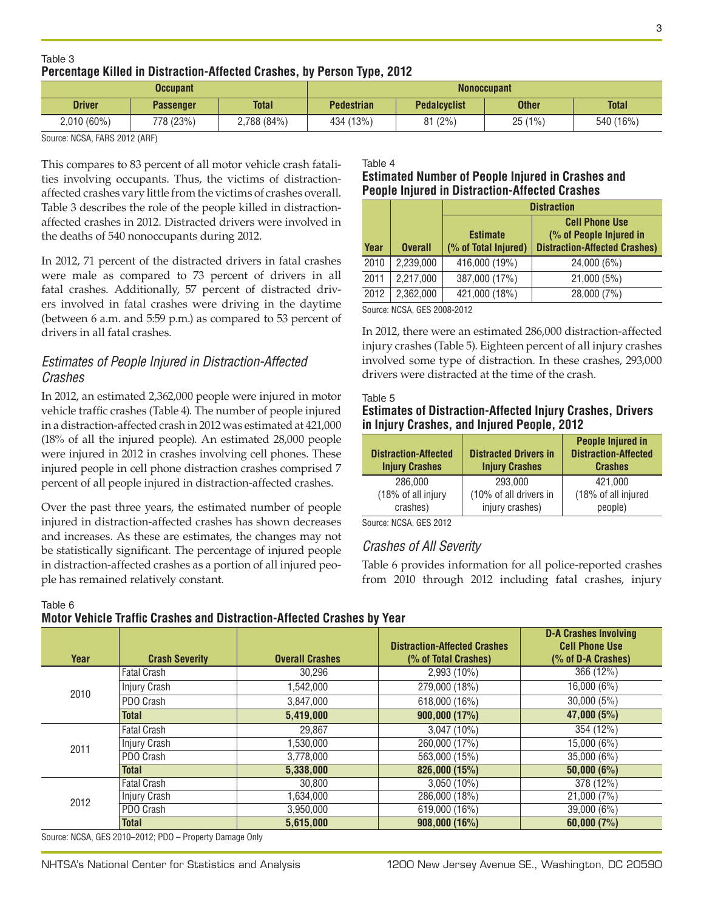#### Table 3 **Percentage Killed in Distraction-Affected Crashes, by Person Type, 2012**

| <b>Occupant</b> |                  |              | <b>Nonoccupant</b> |                     |              |              |
|-----------------|------------------|--------------|--------------------|---------------------|--------------|--------------|
| <b>Driver</b>   | <b>Passenger</b> | <b>Total</b> | <b>Pedestrian</b>  | <b>Pedalcyclist</b> | <b>Other</b> | <b>Total</b> |
| $2,010(60\%)$   | 778 (23%)        | 2,788 (84%)  | 434 (13%)          | 81(2%)              | 25(1%)       | 540 (16%)    |

Source: NCSA, FARS 2012 (ARF)

This compares to 83 percent of all motor vehicle crash fatalities involving occupants. Thus, the victims of distractionaffected crashes vary little from the victims of crashes overall. Table 3 describes the role of the people killed in distractionaffected crashes in 2012. Distracted drivers were involved in the deaths of 540 nonoccupants during 2012.

In 2012, 71 percent of the distracted drivers in fatal crashes were male as compared to 73 percent of drivers in all fatal crashes. Additionally, 57 percent of distracted drivers involved in fatal crashes were driving in the daytime (between 6 a.m. and 5:59 p.m.) as compared to 53 percent of drivers in all fatal crashes.

# *Estimates of People Injured in Distraction-Affected Crashes*

In 2012, an estimated 2,362,000 people were injured in motor vehicle traffic crashes (Table 4). The number of people injured in a distraction-affected crash in 2012 was estimated at 421,000 (18% of all the injured people). An estimated 28,000 people were injured in 2012 in crashes involving cell phones. These injured people in cell phone distraction crashes comprised 7 percent of all people injured in distraction-affected crashes.

Over the past three years, the estimated number of people injured in distraction-affected crashes has shown decreases and increases. As these are estimates, the changes may not be statistically significant. The percentage of injured people in distraction-affected crashes as a portion of all injured people has remained relatively constant.

Table 4

#### **Estimated Number of People Injured in Crashes and People Injured in Distraction-Affected Crashes**

|      |                | <b>Distraction</b>                      |                                                                                          |  |
|------|----------------|-----------------------------------------|------------------------------------------------------------------------------------------|--|
| Year | <b>Overall</b> | <b>Estimate</b><br>(% of Total Injured) | <b>Cell Phone Use</b><br>(% of People Injured in<br><b>Distraction-Affected Crashes)</b> |  |
| 2010 | 2,239,000      | 416,000 (19%)                           | 24,000 (6%)                                                                              |  |
| 2011 | 2,217,000      | 387,000 (17%)                           | 21,000 (5%)                                                                              |  |
| 2012 | 2,362,000      | 421,000 (18%)                           | 28,000 (7%)                                                                              |  |

Source: NCSA, GES 2008-2012

In 2012, there were an estimated 286,000 distraction-affected injury crashes (Table 5). Eighteen percent of all injury crashes involved some type of distraction. In these crashes, 293,000 drivers were distracted at the time of the crash.

#### Table 5 **Estimates of Distraction-Affected Injury Crashes, Drivers in Injury Crashes, and Injured People, 2012**

| <b>Distraction-Affected</b><br><b>Injury Crashes</b> | <b>Distracted Drivers in</b><br><b>Injury Crashes</b> | <b>People Injured in</b><br><b>Distraction-Affected</b><br><b>Crashes</b> |
|------------------------------------------------------|-------------------------------------------------------|---------------------------------------------------------------------------|
| 286,000                                              | 293,000                                               | 421.000                                                                   |
| (18% of all injury                                   | (10% of all drivers in                                | (18% of all injured                                                       |
| crashes)                                             | injury crashes)                                       | people)                                                                   |

Source: NCSA, GES 2012

## *Crashes of All Severity*

Table 6 provides information for all police-reported crashes from 2010 through 2012 including fatal crashes, injury

#### Table 6

#### **Motor Vehicle Traffic Crashes and Distraction-Affected Crashes by Year**

| Year | <b>Crash Severity</b> | <b>Overall Crashes</b> | <b>Distraction-Affected Crashes</b><br>(% of Total Crashes) | <b>D-A Crashes Involving</b><br><b>Cell Phone Use</b><br>(% of D-A Crashes) |
|------|-----------------------|------------------------|-------------------------------------------------------------|-----------------------------------------------------------------------------|
|      | <b>Fatal Crash</b>    | 30.296                 | 2,993 (10%)                                                 | 366(12%)                                                                    |
| 2010 | Injury Crash          | 1,542,000              | 279,000 (18%)                                               | 16,000 (6%)                                                                 |
|      | PDO Crash             | 3,847,000              | 618,000 (16%)                                               | 30,000(5%)                                                                  |
|      | <b>Total</b>          | 5,419,000              | 900,000 (17%)                                               | 47,000 (5%)                                                                 |
| 2011 | <b>Fatal Crash</b>    | 29.867                 | $3,047(10\%)$                                               | 354 (12%)                                                                   |
|      | Injury Crash          | 1,530,000              | 260,000 (17%)                                               | 15,000 (6%)                                                                 |
|      | PDO Crash             | 3,778,000              | 563,000 (15%)                                               | 35,000 (6%)                                                                 |
|      | <b>Total</b>          | 5,338,000              | 826,000 (15%)                                               | 50,000(6%)                                                                  |
| 2012 | <b>Fatal Crash</b>    | 30.800                 | $3,050(10\%)$                                               | 378 (12%)                                                                   |
|      | Injury Crash          | 1,634,000              | 286,000 (18%)                                               | 21,000 (7%)                                                                 |
|      | PDO Crash             | 3,950,000              | 619,000 (16%)                                               | $\overline{39,000}$ (6%)                                                    |
|      | <b>Total</b>          | 5,615,000              | 908,000(16%)                                                | 60,000(7%)                                                                  |

Source: NCSA, GES 2010–2012; PDO – Property Damage Only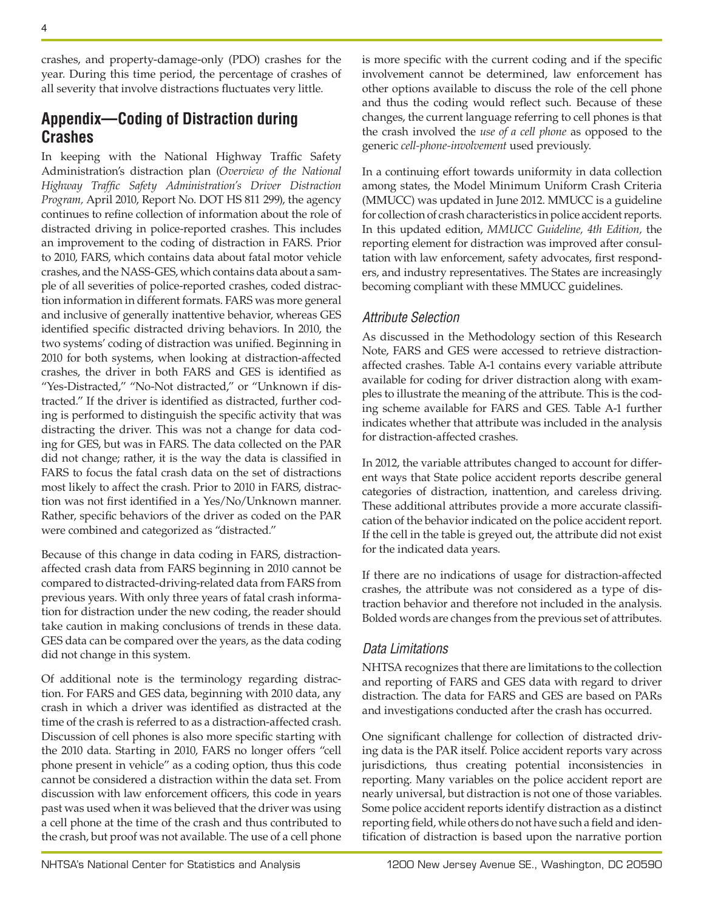crashes, and property-damage-only (PDO) crashes for the year. During this time period, the percentage of crashes of all severity that involve distractions fluctuates very little.

# **Appendix—Coding of Distraction during Crashes**

In keeping with the National Highway Traffic Safety Administration's distraction plan (*Overview of the National Highway Traffic Safety Administration's Driver Distraction Program,* April 2010, Report No. DOT HS 811 299), the agency continues to refine collection of information about the role of distracted driving in police-reported crashes. This includes an improvement to the coding of distraction in FARS. Prior to 2010, FARS, which contains data about fatal motor vehicle crashes, and the NASS-GES, which contains data about a sample of all severities of police-reported crashes, coded distraction information in different formats. FARS was more general and inclusive of generally inattentive behavior, whereas GES identified specific distracted driving behaviors. In 2010, the two systems' coding of distraction was unified. Beginning in 2010 for both systems, when looking at distraction-affected crashes, the driver in both FARS and GES is identified as "Yes-Distracted," "No-Not distracted," or "Unknown if distracted." If the driver is identified as distracted, further coding is performed to distinguish the specific activity that was distracting the driver. This was not a change for data coding for GES, but was in FARS. The data collected on the PAR did not change; rather, it is the way the data is classified in FARS to focus the fatal crash data on the set of distractions most likely to affect the crash. Prior to 2010 in FARS, distraction was not first identified in a Yes/No/Unknown manner. Rather, specific behaviors of the driver as coded on the PAR were combined and categorized as "distracted."

Because of this change in data coding in FARS, distractionaffected crash data from FARS beginning in 2010 cannot be compared to distracted-driving-related data from FARS from previous years. With only three years of fatal crash information for distraction under the new coding, the reader should take caution in making conclusions of trends in these data. GES data can be compared over the years, as the data coding did not change in this system.

Of additional note is the terminology regarding distraction. For FARS and GES data, beginning with 2010 data, any crash in which a driver was identified as distracted at the time of the crash is referred to as a distraction-affected crash. Discussion of cell phones is also more specific starting with the 2010 data. Starting in 2010, FARS no longer offers "cell phone present in vehicle" as a coding option, thus this code cannot be considered a distraction within the data set. From discussion with law enforcement officers, this code in years past was used when it was believed that the driver was using a cell phone at the time of the crash and thus contributed to the crash, but proof was not available. The use of a cell phone

is more specific with the current coding and if the specific involvement cannot be determined, law enforcement has other options available to discuss the role of the cell phone and thus the coding would reflect such. Because of these changes, the current language referring to cell phones is that the crash involved the *use of a cell phone* as opposed to the generic *cell-phone-involvement* used previously.

In a continuing effort towards uniformity in data collection among states, the Model Minimum Uniform Crash Criteria (MMUCC) was updated in June 2012. MMUCC is a guideline for collection of crash characteristics in police accident reports. In this updated edition, *MMUCC Guideline, 4th Edition,* the reporting element for distraction was improved after consultation with law enforcement, safety advocates, first responders, and industry representatives. The States are increasingly becoming compliant with these MMUCC guidelines.

## *Attribute Selection*

As discussed in the Methodology section of this Research Note, FARS and GES were accessed to retrieve distractionaffected crashes. Table A-1 contains every variable attribute available for coding for driver distraction along with examples to illustrate the meaning of the attribute. This is the coding scheme available for FARS and GES. Table A-1 further indicates whether that attribute was included in the analysis for distraction-affected crashes.

In 2012, the variable attributes changed to account for different ways that State police accident reports describe general categories of distraction, inattention, and careless driving. These additional attributes provide a more accurate classification of the behavior indicated on the police accident report. If the cell in the table is greyed out, the attribute did not exist for the indicated data years.

If there are no indications of usage for distraction-affected crashes, the attribute was not considered as a type of distraction behavior and therefore not included in the analysis. Bolded words are changes from the previous set of attributes.

## *Data Limitations*

NHTSA recognizes that there are limitations to the collection and reporting of FARS and GES data with regard to driver distraction. The data for FARS and GES are based on PARs and investigations conducted after the crash has occurred.

One significant challenge for collection of distracted driving data is the PAR itself. Police accident reports vary across jurisdictions, thus creating potential inconsistencies in reporting. Many variables on the police accident report are nearly universal, but distraction is not one of those variables. Some police accident reports identify distraction as a distinct reporting field, while others do not have such a field and identification of distraction is based upon the narrative portion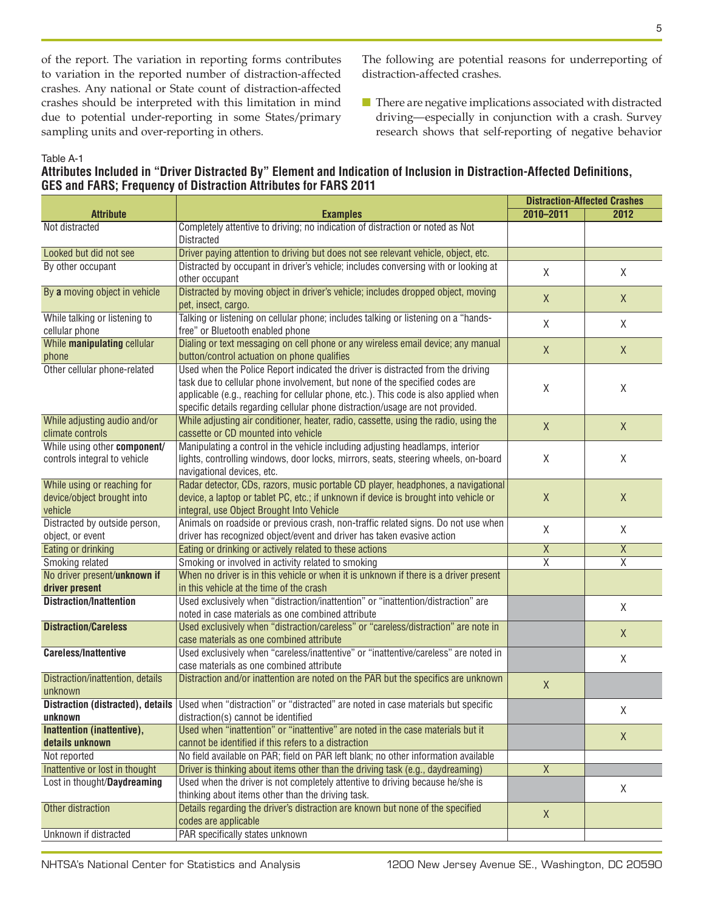of the report. The variation in reporting forms contributes to variation in the reported number of distraction-affected crashes. Any national or State count of distraction-affected crashes should be interpreted with this limitation in mind due to potential under-reporting in some States/primary sampling units and over-reporting in others.

The following are potential reasons for underreporting of distraction-affected crashes.

■ There are negative implications associated with distracted driving—especially in conjunction with a crash. Survey research shows that self-reporting of negative behavior

#### Table A-1

#### **Attributes Included in "Driver Distracted By" Element and Indication of Inclusion in Distraction-Affected Definitions, GES and FARS; Frequency of Distraction Attributes for FARS 2011**

|                                                                      |                                                                                                                                                                                                                                                                                                                                         | <b>Distraction-Affected Crashes</b> |                         |
|----------------------------------------------------------------------|-----------------------------------------------------------------------------------------------------------------------------------------------------------------------------------------------------------------------------------------------------------------------------------------------------------------------------------------|-------------------------------------|-------------------------|
| <b>Attribute</b>                                                     | <b>Examples</b>                                                                                                                                                                                                                                                                                                                         | 2010-2011                           | 2012                    |
| Not distracted                                                       | Completely attentive to driving; no indication of distraction or noted as Not                                                                                                                                                                                                                                                           |                                     |                         |
|                                                                      | <b>Distracted</b>                                                                                                                                                                                                                                                                                                                       |                                     |                         |
| Looked but did not see                                               | Driver paying attention to driving but does not see relevant vehicle, object, etc.                                                                                                                                                                                                                                                      |                                     |                         |
| By other occupant                                                    | Distracted by occupant in driver's vehicle; includes conversing with or looking at<br>other occupant                                                                                                                                                                                                                                    | $\mathsf{X}$                        | X                       |
| By a moving object in vehicle                                        | Distracted by moving object in driver's vehicle; includes dropped object, moving<br>pet, insect, cargo.                                                                                                                                                                                                                                 | $\mathsf{X}$                        | $\mathsf{X}$            |
| While talking or listening to<br>cellular phone                      | Talking or listening on cellular phone; includes talking or listening on a "hands-<br>free" or Bluetooth enabled phone                                                                                                                                                                                                                  | X                                   | X                       |
| While manipulating cellular<br>phone                                 | Dialing or text messaging on cell phone or any wireless email device; any manual<br>button/control actuation on phone qualifies                                                                                                                                                                                                         | $\mathsf X$                         | X                       |
| Other cellular phone-related                                         | Used when the Police Report indicated the driver is distracted from the driving<br>task due to cellular phone involvement, but none of the specified codes are<br>applicable (e.g., reaching for cellular phone, etc.). This code is also applied when<br>specific details regarding cellular phone distraction/usage are not provided. | X                                   | Χ                       |
| While adjusting audio and/or<br>climate controls                     | While adjusting air conditioner, heater, radio, cassette, using the radio, using the<br>cassette or CD mounted into vehicle                                                                                                                                                                                                             | X                                   | X                       |
| While using other component/<br>controls integral to vehicle         | Manipulating a control in the vehicle including adjusting headlamps, interior<br>lights, controlling windows, door locks, mirrors, seats, steering wheels, on-board<br>navigational devices, etc.                                                                                                                                       | Χ                                   | Χ                       |
| While using or reaching for<br>device/object brought into<br>vehicle | Radar detector, CDs, razors, music portable CD player, headphones, a navigational<br>device, a laptop or tablet PC, etc.; if unknown if device is brought into vehicle or<br>integral, use Object Brought Into Vehicle                                                                                                                  | X                                   | $\mathsf X$             |
| Distracted by outside person,<br>object, or event                    | Animals on roadside or previous crash, non-traffic related signs. Do not use when<br>driver has recognized object/event and driver has taken evasive action                                                                                                                                                                             | X                                   | Χ                       |
| Eating or drinking                                                   | Eating or drinking or actively related to these actions                                                                                                                                                                                                                                                                                 | $\overline{\mathsf{X}}$             | $\overline{X}$          |
| Smoking related                                                      | Smoking or involved in activity related to smoking                                                                                                                                                                                                                                                                                      | $\overline{\mathsf{x}}$             | $\overline{\mathsf{x}}$ |
| No driver present/unknown if                                         | When no driver is in this vehicle or when it is unknown if there is a driver present                                                                                                                                                                                                                                                    |                                     |                         |
| driver present                                                       | in this vehicle at the time of the crash                                                                                                                                                                                                                                                                                                |                                     |                         |
| <b>Distraction/Inattention</b>                                       | Used exclusively when "distraction/inattention" or "inattention/distraction" are<br>noted in case materials as one combined attribute                                                                                                                                                                                                   |                                     | Χ                       |
| <b>Distraction/Careless</b>                                          | Used exclusively when "distraction/careless" or "careless/distraction" are note in                                                                                                                                                                                                                                                      |                                     |                         |
|                                                                      | case materials as one combined attribute                                                                                                                                                                                                                                                                                                |                                     | X                       |
| <b>Careless/Inattentive</b>                                          | Used exclusively when "careless/inattentive" or "inattentive/careless" are noted in<br>case materials as one combined attribute                                                                                                                                                                                                         |                                     | Χ                       |
| Distraction/inattention, details<br>unknown                          | Distraction and/or inattention are noted on the PAR but the specifics are unknown                                                                                                                                                                                                                                                       | $\mathsf{X}$                        |                         |
|                                                                      | Distraction (distracted), details Used when "distraction" or "distracted" are noted in case materials but specific                                                                                                                                                                                                                      |                                     |                         |
| unknown                                                              | distraction(s) cannot be identified                                                                                                                                                                                                                                                                                                     |                                     | X                       |
| Inattention (inattentive),                                           | Used when "inattention" or "inattentive" are noted in the case materials but it                                                                                                                                                                                                                                                         |                                     |                         |
| details unknown                                                      | cannot be identified if this refers to a distraction                                                                                                                                                                                                                                                                                    |                                     | X                       |
| Not reported                                                         | No field available on PAR; field on PAR left blank; no other information available                                                                                                                                                                                                                                                      |                                     |                         |
| Inattentive or lost in thought                                       | Driver is thinking about items other than the driving task (e.g., daydreaming)                                                                                                                                                                                                                                                          | $\overline{\mathsf{X}}$             |                         |
| Lost in thought/Daydreaming                                          | Used when the driver is not completely attentive to driving because he/she is                                                                                                                                                                                                                                                           |                                     |                         |
|                                                                      | thinking about items other than the driving task.                                                                                                                                                                                                                                                                                       |                                     | Χ                       |
| Other distraction                                                    | Details regarding the driver's distraction are known but none of the specified<br>codes are applicable                                                                                                                                                                                                                                  | X                                   |                         |
| Unknown if distracted                                                | PAR specifically states unknown                                                                                                                                                                                                                                                                                                         |                                     |                         |
|                                                                      |                                                                                                                                                                                                                                                                                                                                         |                                     |                         |